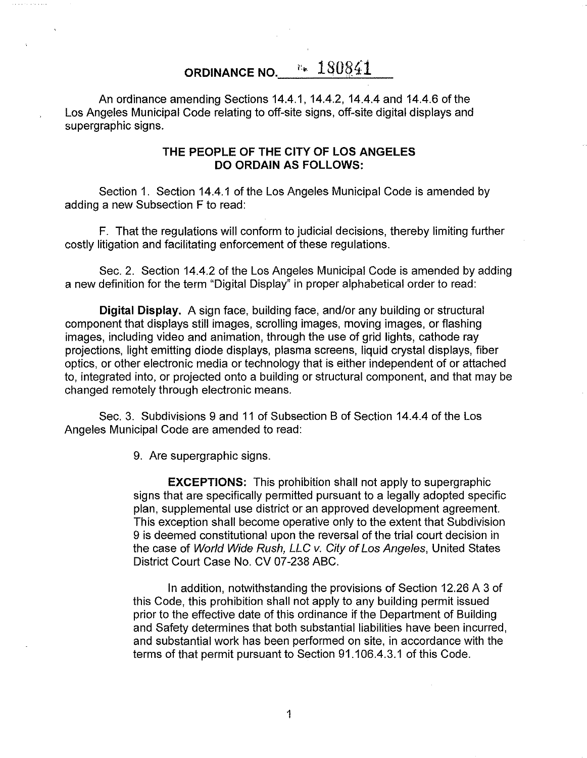## **ORDINANCE NO.** ''• 1S0841

An ordinance amending Sections 14.4.1, 14.4.2, 14.4.4 and 14.4.6 of the Los Angeles Municipal Code relating to off-site signs, off-site digital displays and supergraphic signs.

## **THE PEOPLE OF THE CITY OF LOS ANGELES DO ORDAIN AS FOLLOWS:**

Section 1. Section 14.4.1 of the Los Angeles Municipal Code is amended by adding a new Subsection F to read:

F. That the regulations will conform to judicial decisions, thereby limiting further costly litigation and facilitating enforcement of these regulations.

Sec. 2. Section 14.4.2 of the Los Angeles Municipal Code is amended by adding a new definition for the term "Digital Display" in proper alphabetical order to read:

**Digital Display.** A sign face, building face, and/or any building or structural component that displays still images, scrolling images, moving images, or flashing images, including video and animation, through the use of grid lights, cathode ray projections, light emitting diode displays, plasma screens, liquid crystal displays, fiber optics, or other electronic media or technology that is either independent of or attached to, integrated into, or projected onto a building or structural component, and that may be changed remotely through electronic means.

Sec. 3. Subdivisions 9 and 11 of Subsection B of Section 14.4.4 of the Los Angeles Municipal Code are amended to read:

9. Are supergraphic signs.

**EXCEPTIONS:** This prohibition shall not apply to supergraphic signs that are specifically permitted pursuant to a legally adopted specific plan, supplemental use district or an approved development agreement. This exception shall become operative only to the extent that Subdivision 9 is deemed constitutional upon the reversal of the trial court decision in the case of World Wide Rush, LLC v. City of Los Angeles, United States District Court Case No. CV 07-238 ABC.

In addition, notwithstanding the provisions of Section 12.26 A 3 of this Code, this prohibition shall not apply to any building permit issued prior to the effective date of this ordinance if the Department of Building and Safety determines that both substantial liabilities have been incurred, and substantial work has been performed on site, in accordance with the terms of that permit pursuant to Section 91.1 06.4.3.1 of this Code.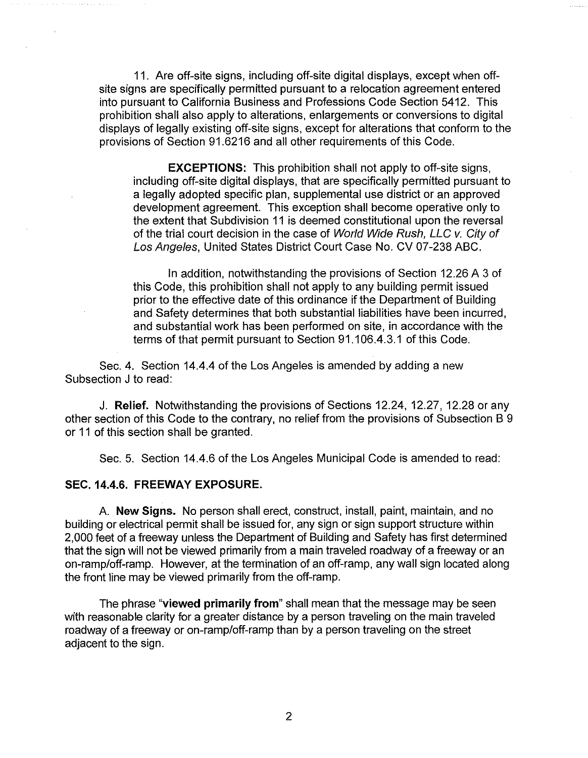11. Are off-site signs, including off-site digital displays, except when offsite signs are specifically permitted pursuant to a relocation agreement entered into pursuant to California Business and Professions Code Section 5412. This prohibition shall also apply to alterations, enlargements or conversions to digital displays of legally existing off-site signs, except for alterations that conform to the provisions of Section 91.6216 and all other requirements of this Code.

**EXCEPTIONS:** This prohibition shall not apply to off-site signs, including off-site digital displays, that are specifically permitted pursuant to a legally adopted specific plan, supplemental use district or an approved development agreement. This exception shall become operative only to the extent that Subdivision 11 is deemed constitutional upon the reversal of the trial court decision in the case of World Wide Rush, LLC v. City of Los Angeles, United States District Court Case No. CV 07-238 ABC.

In addition, notwithstanding the provisions of Section 12.26 A 3 of this Code, this prohibition shall not apply to any building permit issued prior to the effective date of this ordinance if the Department of Building and Safety determines that both substantial liabilities have been incurred, and substantial work has been performed on site, in accordance with the terms of that permit pursuant to Section 91.1 06.4.3.1 of this Code.

Sec. 4. Section 14.4.4 of the Los Angeles is amended by adding a new Subsection J to read:

J. **Relief.** Notwithstanding the provisions of Sections 12.24, 12.27, 12.28 or any other section of this Code to the contrary, no relief from the provisions of Subsection B 9 or 11 of this section shall be granted.

Sec. 5. Section 14.4.6 of the Los Angeles Municipal Code is amended to read:

## **SEC.14.4.6. FREEWAY EXPOSURE.**

A. **New Signs.** No person shall erect, construct, install, paint, maintain, and no building or electrical permit shall be issued for, any sign or sign support structure within 2,000 feet of a freeway unless the Department of Building and Safety has first determined that the sign will not be viewed primarily from a main traveled roadway of a freeway or an on-ramp/off-ramp. However, at the termination of an off-ramp, any wall sign located along the front line may be viewed primarily from the off-ramp.

The phrase **"viewed primarily from"** shall mean that the message may be seen with reasonable clarity for a greater distance by a person traveling on the main traveled roadway of a freeway or on-ramp/off-ramp than by a person traveling on the street adjacent to the sign.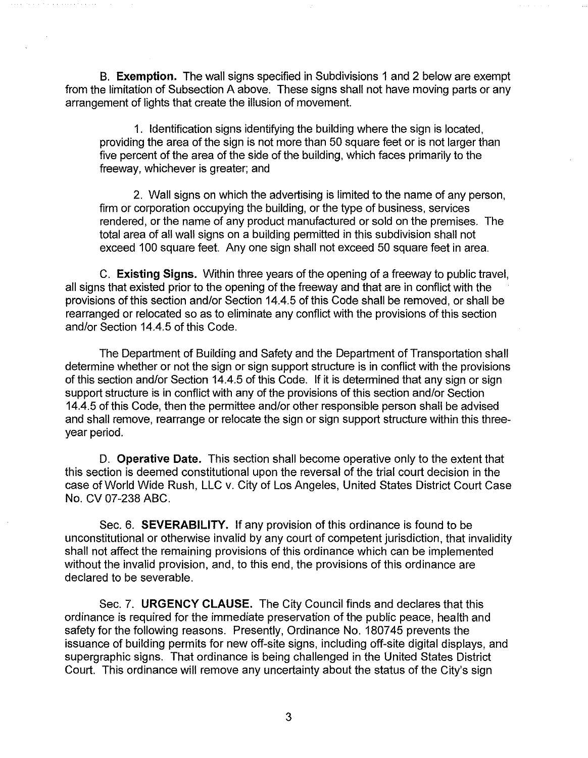B. **Exemption.** The wall signs specified in Subdivisions 1 and 2 below are exempt from the limitation of Subsection A above. These signs shall not have moving parts or any arrangement of lights that create the illusion of movement.

1. Identification signs identifying the building where the sign is located, providing the area of the sign is not more than 50 square feet or is not larger than five percent of the area of the side of the building, which faces primarily to the freeway, whichever is greater; and

2. Wall signs on which the advertising is limited to the name of any person, firm or corporation occupying the building, or the type of business, services rendered, or the name of any product manufactured or sold on the premises. The total area of all wall signs on a building permitted in this subdivision shall not exceed 100 square feet. Any one sign shall not exceed 50 square feet in area.

C. **Existing Signs.** Within three years of the opening of a freeway to public travel, all signs that existed prior to the opening of the freeway and that are in conflict with the provisions of this section and/or Section 14.4.5 of this Code shall be removed, or shall be rearranged or relocated so as to eliminate any conflict with the provisions of this section and/or Section 14.4.5 of this Code.

The Department of Building and Safety and the Department of Transportation shall determine whether or not the sign or sign support structure is in conflict with the provisions of this section and/or Section 14.4.5 of this Code. If it is determined that any sign or sign support structure is in conflict with any of the provisions of this section and/or Section 14.4.5 of this Code, then the permittee and/or other responsible person shall be advised and shall remove, rearrange or relocate the sign or sign support structure within this threeyear period.

D. **Operative Date.** This section shall become operative only to the extent that this section is deemed constitutional upon the reversal of the trial court decision in the case of World Wide Rush, LLC v. City of Los Angeles, United States District Court Case No. CV 07-238 ABC.

Sec. 6. **SEVERABILITY.** If any provision of this ordinance is found to be unconstitutional or otherwise invalid by any court of competent jurisdiction, that invalidity shall not affect the remaining provisions of this ordinance which can be implemented without the invalid provision, and, to this end, the provisions of this ordinance are declared to be severable.

Sec. 7. **URGENCY CLAUSE.** The City Council finds and declares that this ordinance is required for the immediate preservation of the public peace, health and safety for the following reasons. Presently, Ordinance No. 180745 prevents the issuance of building permits for new off-site signs, including off-site digital displays, and supergraphic signs. That ordinance is being challenged in the United States District Court. This ordinance will remove any uncertainty about the status of the City's sign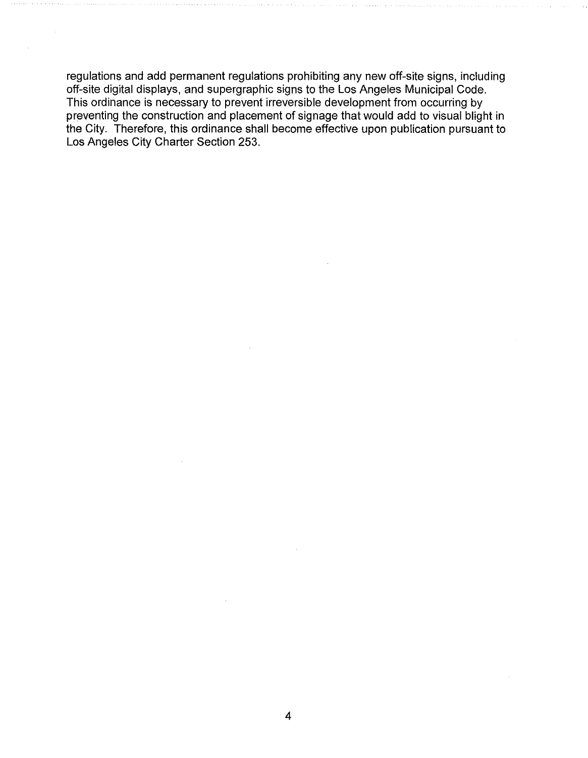regulations and add permanent regulations prohibiting any new off-site signs, including off-site digital displays, and supergraphic signs to the Los Angeles Municipal Code. This ordinance is necessary to prevent irreversible development from occurring by preventing the construction and placement of signage that would add to visual blight in the City. Therefore, this ordinance shall become effective upon publication pursuant to Los Angeles City Charter Section 253.

 $\bar{z}$